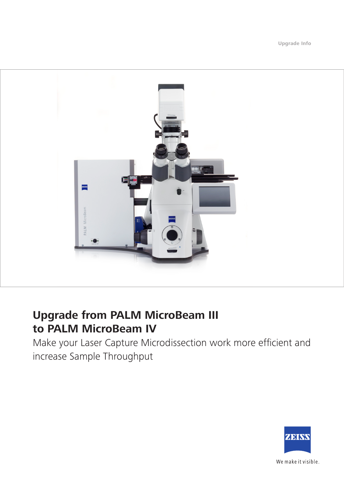**Upgrade Info**



# **Upgrade from PALM MicroBeam III to PALM MicroBeam IV**

Make your Laser Capture Microdissection work more efficient and increase Sample Throughput



We make it visible.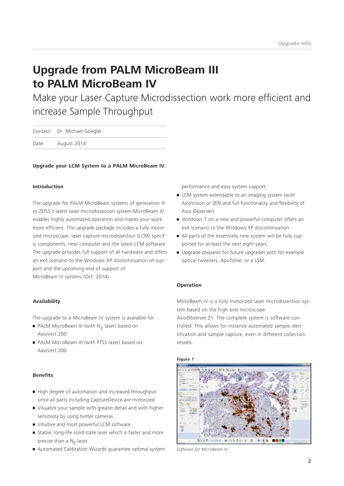# **Upgrade from PALM MicroBeam III to PALM MicroBeam IV**

Make your Laser Capture Microdissection work more efficient and increase Sample Throughput

|       | Contact: Dr. Michael Goegler |
|-------|------------------------------|
| Date: | August 2014                  |

### **Upgrade your LCM System to a PALM MicroBeam IV.**

#### **Introduction**

The upgrade for PALM MicroBeam systems of generation III to ZEISS's latest laser microdissection system MicroBeam IV enables highly automated operation and makes your work more efficient. The upgrade package includes a fully motorized microscope, laser capture microdissection (LCM) specific components, new computer and the latest LCM software. The upgrade provides full support of all hardware and offers an exit scenario to the Windows XP discontinuation of support and the upcoming end of support of MicroBeam III systems (Oct. 2014).

### **Availability**

The upgrade to a MicroBeam IV system is available for:

- PALM MicroBeam III (with N<sub>2</sub> laser) based on AxioVert 200
- **PALM MicroBeam III (with FTSS laser) based on** AxioVert 200

#### **Benefits**

- **•** High degree of automation and increased throughput since all parts including CaptureDevice are motorized
- Visualize your sample with greater detail and with higher sensitivity by using better cameras.
- **Intuitive and most powerful LCM software**
- **E** Stable, long-life solid state laser which is faster and more precise than a  $N<sub>2</sub>$  laser.
- Automated Calibration Wizards guarantee optimal system

performance and easy system support

- **E** LCM system extendable to an imaging system (with AxioVision or ZEN and full functionality and flexibility of Axio Observer)
- Windows 7 on a new and powerful computer offers an exit scenario to the Windows XP discontinuation.
- All parts of the essentially new system will be fully supported for at least the next eight years.
- • Upgrade prepares for future upgrades with for example optical tweezers, ApoTome, or a LSM.

#### **Operation**

MicroBeam IV is a fully motorized laser microdissection system based on the high end microscope AxioObserver.Z1. The complete system is software controlled. This allows for instance automated sample identification and sample capture, even in different collection vessels.



*Software for MicroBeam IV*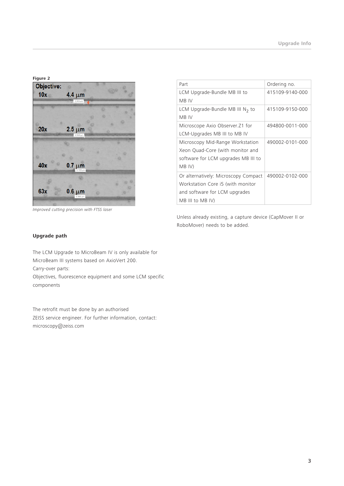**Figure 2**



*Improved cutting precision with FTSS laser*

| Part                                 | Ordering no.    |
|--------------------------------------|-----------------|
| LCM Upgrade-Bundle MB III to         | 415109-9140-000 |
| MB IV                                |                 |
| LCM Upgrade-Bundle MB III $N_2$ to   | 415109-9150-000 |
| MB IV                                |                 |
| Microscope Axio Observer. Z1 for     | 494800-0011-000 |
| LCM-Upgrades MB III to MB IV         |                 |
| Microscopy Mid-Range Workstation     | 490002-0101-000 |
| Xeon Ouad-Core (with monitor and     |                 |
| software for LCM upgrades MB III to  |                 |
| MB IV)                               |                 |
| Or alternatively: Microscopy Compact | 490002-0102-000 |
| Workstation Core i5 (with monitor    |                 |
| and software for LCM upgrades        |                 |
| $MB$ III to MB IV)                   |                 |

Unless already existing, a capture device (CapMover II or RoboMover) needs to be added.

## **Upgrade path**

The LCM Upgrade to MicroBeam IV is only available for MicroBeam III systems based on AxioVert 200.

Carry-over parts:

Objectives, fluorescence equipment and some LCM specific components

The retrofit must be done by an authorised ZEISS service engineer. For further information, contact: microscopy@zeiss.com